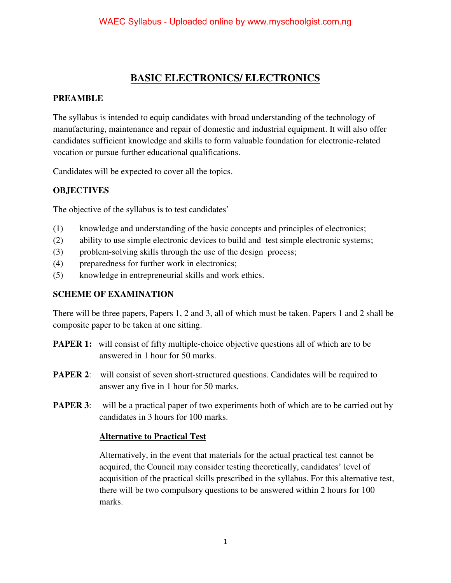## **BASIC ELECTRONICS/ ELECTRONICS**

#### **PREAMBLE**

The syllabus is intended to equip candidates with broad understanding of the technology of manufacturing, maintenance and repair of domestic and industrial equipment. It will also offer candidates sufficient knowledge and skills to form valuable foundation for electronic-related vocation or pursue further educational qualifications.

Candidates will be expected to cover all the topics.

### **OBJECTIVES**

The objective of the syllabus is to test candidates'

- (1) knowledge and understanding of the basic concepts and principles of electronics;
- (2) ability to use simple electronic devices to build and test simple electronic systems;
- (3) problem-solving skills through the use of the design process;
- (4) preparedness for further work in electronics;
- (5) knowledge in entrepreneurial skills and work ethics.

#### **SCHEME OF EXAMINATION**

There will be three papers, Papers 1, 2 and 3, all of which must be taken. Papers 1 and 2 shall be composite paper to be taken at one sitting.

- **PAPER 1:** will consist of fifty multiple-choice objective questions all of which are to be answered in 1 hour for 50 marks.
- **PAPER 2:** will consist of seven short-structured questions. Candidates will be required to answer any five in 1 hour for 50 marks.
- **PAPER 3**: will be a practical paper of two experiments both of which are to be carried out by candidates in 3 hours for 100 marks.

#### **Alternative to Practical Test**

 Alternatively, in the event that materials for the actual practical test cannot be acquired, the Council may consider testing theoretically, candidates' level of acquisition of the practical skills prescribed in the syllabus. For this alternative test, there will be two compulsory questions to be answered within 2 hours for 100 marks.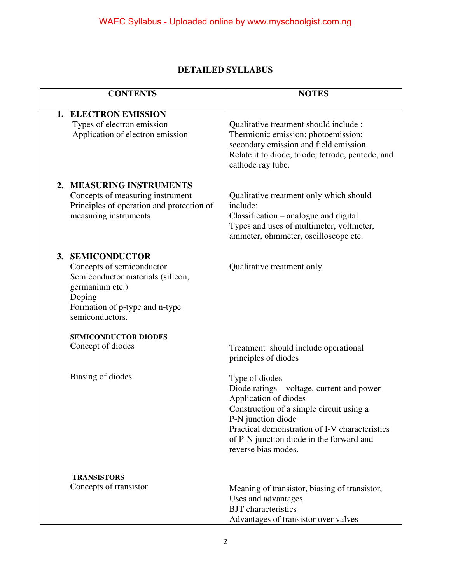## **DETAILED SYLLABUS**

| <b>CONTENTS</b>                                                                                                                                                                | <b>NOTES</b>                                                                                                                                                                                                                                                                 |
|--------------------------------------------------------------------------------------------------------------------------------------------------------------------------------|------------------------------------------------------------------------------------------------------------------------------------------------------------------------------------------------------------------------------------------------------------------------------|
| 1. ELECTRON EMISSION<br>Types of electron emission<br>Application of electron emission                                                                                         | Qualitative treatment should include :<br>Thermionic emission; photoemission;<br>secondary emission and field emission.<br>Relate it to diode, triode, tetrode, pentode, and<br>cathode ray tube.                                                                            |
| <b>MEASURING INSTRUMENTS</b><br>2.<br>Concepts of measuring instrument<br>Principles of operation and protection of<br>measuring instruments                                   | Qualitative treatment only which should<br>include:<br>Classification – analogue and digital<br>Types and uses of multimeter, voltmeter,<br>ammeter, ohmmeter, oscilloscope etc.                                                                                             |
| <b>SEMICONDUCTOR</b><br>3.<br>Concepts of semiconductor<br>Semiconductor materials (silicon,<br>germanium etc.)<br>Doping<br>Formation of p-type and n-type<br>semiconductors. | Qualitative treatment only.                                                                                                                                                                                                                                                  |
| <b>SEMICONDUCTOR DIODES</b><br>Concept of diodes                                                                                                                               | Treatment should include operational<br>principles of diodes                                                                                                                                                                                                                 |
| Biasing of diodes                                                                                                                                                              | Type of diodes<br>Diode ratings – voltage, current and power<br>Application of diodes<br>Construction of a simple circuit using a<br>P-N junction diode<br>Practical demonstration of I-V characteristics<br>of P-N junction diode in the forward and<br>reverse bias modes. |
| <b>TRANSISTORS</b><br>Concepts of transistor                                                                                                                                   | Meaning of transistor, biasing of transistor,<br>Uses and advantages.<br><b>BJT</b> characteristics<br>Advantages of transistor over valves                                                                                                                                  |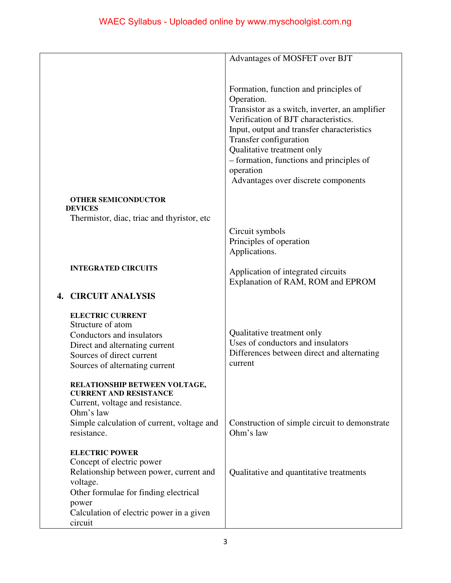|                                             | Advantages of MOSFET over BJT                  |
|---------------------------------------------|------------------------------------------------|
|                                             |                                                |
|                                             |                                                |
|                                             | Formation, function and principles of          |
|                                             | Operation.                                     |
|                                             | Transistor as a switch, inverter, an amplifier |
|                                             | Verification of BJT characteristics.           |
|                                             | Input, output and transfer characteristics     |
|                                             | Transfer configuration                         |
|                                             | Qualitative treatment only                     |
|                                             |                                                |
|                                             | - formation, functions and principles of       |
|                                             | operation                                      |
|                                             | Advantages over discrete components            |
| <b>OTHER SEMICONDUCTOR</b>                  |                                                |
| <b>DEVICES</b>                              |                                                |
| Thermistor, diac, triac and thyristor, etc. |                                                |
|                                             | Circuit symbols                                |
|                                             | Principles of operation                        |
|                                             | Applications.                                  |
|                                             |                                                |
| <b>INTEGRATED CIRCUITS</b>                  | Application of integrated circuits             |
|                                             | Explanation of RAM, ROM and EPROM              |
|                                             |                                                |
| <b>4. CIRCUIT ANALYSIS</b>                  |                                                |
|                                             |                                                |
| <b>ELECTRIC CURRENT</b>                     |                                                |
| Structure of atom                           | Qualitative treatment only                     |
| Conductors and insulators                   | Uses of conductors and insulators              |
| Direct and alternating current              |                                                |
| Sources of direct current                   | Differences between direct and alternating     |
| Sources of alternating current              | current                                        |
|                                             |                                                |
| RELATIONSHIP BETWEEN VOLTAGE,               |                                                |
| <b>CURRENT AND RESISTANCE</b>               |                                                |
| Current, voltage and resistance.            |                                                |
| Ohm's law                                   |                                                |
| Simple calculation of current, voltage and  | Construction of simple circuit to demonstrate  |
| resistance.                                 | Ohm's law                                      |
|                                             |                                                |
| <b>ELECTRIC POWER</b>                       |                                                |
| Concept of electric power                   |                                                |
| Relationship between power, current and     | Qualitative and quantitative treatments        |
| voltage.                                    |                                                |
| Other formulae for finding electrical       |                                                |
| power                                       |                                                |
| Calculation of electric power in a given    |                                                |
| circuit                                     |                                                |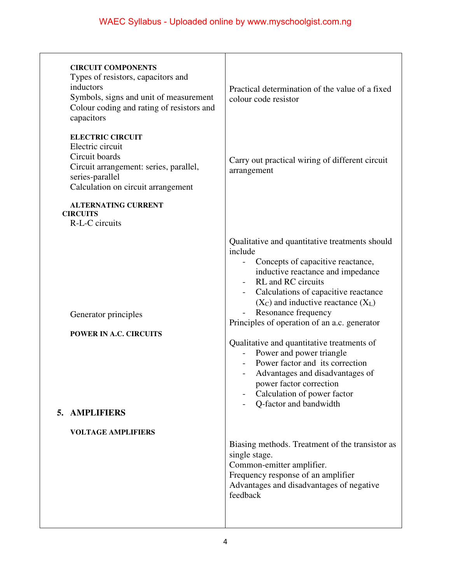| <b>CIRCUIT COMPONENTS</b><br>Types of resistors, capacitors and<br>inductors<br>Symbols, signs and unit of measurement<br>Colour coding and rating of resistors and<br>capacitors | Practical determination of the value of a fixed<br>colour code resistor                                                                                                                                                                                                                                                                                                                                                                                                                                                                                               |
|-----------------------------------------------------------------------------------------------------------------------------------------------------------------------------------|-----------------------------------------------------------------------------------------------------------------------------------------------------------------------------------------------------------------------------------------------------------------------------------------------------------------------------------------------------------------------------------------------------------------------------------------------------------------------------------------------------------------------------------------------------------------------|
| <b>ELECTRIC CIRCUIT</b><br>Electric circuit<br>Circuit boards<br>Circuit arrangement: series, parallel,<br>series-parallel<br>Calculation on circuit arrangement                  | Carry out practical wiring of different circuit<br>arrangement                                                                                                                                                                                                                                                                                                                                                                                                                                                                                                        |
| <b>ALTERNATING CURRENT</b><br><b>CIRCUITS</b><br>R-L-C circuits                                                                                                                   |                                                                                                                                                                                                                                                                                                                                                                                                                                                                                                                                                                       |
| Generator principles<br>POWER IN A.C. CIRCUITS<br>5. AMPLIFIERS<br><b>VOLTAGE AMPLIFIERS</b>                                                                                      | Qualitative and quantitative treatments should<br>include<br>Concepts of capacitive reactance,<br>inductive reactance and impedance<br><b>RL</b> and <b>RC</b> circuits<br>Calculations of capacitive reactance<br>$(X_C)$ and inductive reactance $(X_L)$<br>Resonance frequency<br>Principles of operation of an a.c. generator<br>Qualitative and quantitative treatments of<br>Power and power triangle<br>Power factor and its correction<br>Advantages and disadvantages of<br>power factor correction<br>Calculation of power factor<br>Q-factor and bandwidth |
|                                                                                                                                                                                   | Biasing methods. Treatment of the transistor as<br>single stage.<br>Common-emitter amplifier.<br>Frequency response of an amplifier<br>Advantages and disadvantages of negative<br>feedback                                                                                                                                                                                                                                                                                                                                                                           |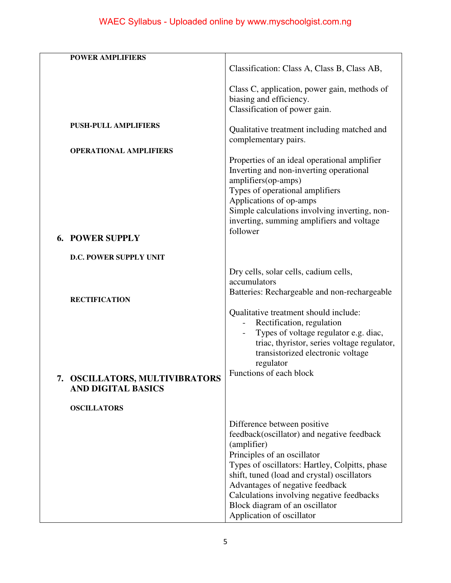# WAEC Syllabus - Uploaded online by www.myschoolgist.com.ng

|    | <b>POWER AMPLIFIERS</b>                                    | Classification: Class A, Class B, Class AB,                                                                                                                                                                                                                                                                                                                             |
|----|------------------------------------------------------------|-------------------------------------------------------------------------------------------------------------------------------------------------------------------------------------------------------------------------------------------------------------------------------------------------------------------------------------------------------------------------|
|    |                                                            | Class C, application, power gain, methods of<br>biasing and efficiency.<br>Classification of power gain.                                                                                                                                                                                                                                                                |
|    | <b>PUSH-PULL AMPLIFIERS</b>                                | Qualitative treatment including matched and<br>complementary pairs.                                                                                                                                                                                                                                                                                                     |
| 6. | <b>OPERATIONAL AMPLIFIERS</b><br><b>POWER SUPPLY</b>       | Properties of an ideal operational amplifier<br>Inverting and non-inverting operational<br>amplifiers(op-amps)<br>Types of operational amplifiers<br>Applications of op-amps<br>Simple calculations involving inverting, non-<br>inverting, summing amplifiers and voltage<br>follower                                                                                  |
|    | D.C. POWER SUPPLY UNIT                                     |                                                                                                                                                                                                                                                                                                                                                                         |
| 7. | <b>RECTIFICATION</b><br><b>OSCILLATORS, MULTIVIBRATORS</b> | Dry cells, solar cells, cadium cells,<br>accumulators<br>Batteries: Rechargeable and non-rechargeable<br>Qualitative treatment should include:<br>Rectification, regulation<br>Types of voltage regulator e.g. diac,<br>triac, thyristor, series voltage regulator,<br>transistorized electronic voltage<br>regulator<br>Functions of each block                        |
|    | <b>AND DIGITAL BASICS</b><br><b>OSCILLATORS</b>            |                                                                                                                                                                                                                                                                                                                                                                         |
|    |                                                            | Difference between positive<br>feedback(oscillator) and negative feedback<br>(amplifier)<br>Principles of an oscillator<br>Types of oscillators: Hartley, Colpitts, phase<br>shift, tuned (load and crystal) oscillators<br>Advantages of negative feedback<br>Calculations involving negative feedbacks<br>Block diagram of an oscillator<br>Application of oscillator |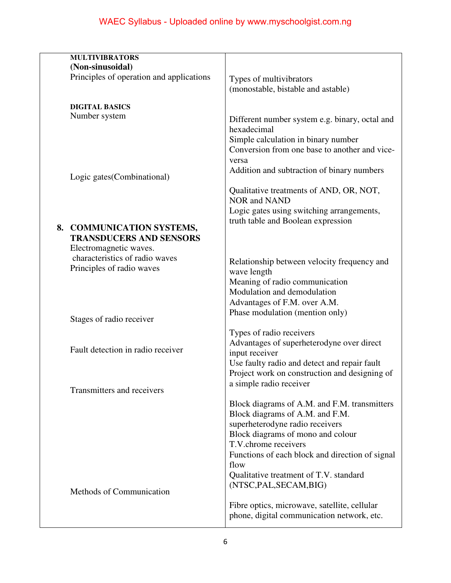| <b>MULTIVIBRATORS</b>                    |                                                 |
|------------------------------------------|-------------------------------------------------|
| (Non-sinusoidal)                         |                                                 |
| Principles of operation and applications | Types of multivibrators                         |
|                                          | (monostable, bistable and astable)              |
|                                          |                                                 |
| <b>DIGITAL BASICS</b><br>Number system   |                                                 |
|                                          | Different number system e.g. binary, octal and  |
|                                          | hexadecimal                                     |
|                                          | Simple calculation in binary number             |
|                                          | Conversion from one base to another and vice-   |
|                                          | versa                                           |
|                                          | Addition and subtraction of binary numbers      |
| Logic gates (Combinational)              |                                                 |
|                                          | Qualitative treatments of AND, OR, NOT,         |
|                                          | <b>NOR and NAND</b>                             |
|                                          | Logic gates using switching arrangements,       |
|                                          | truth table and Boolean expression              |
| 8. COMMUNICATION SYSTEMS,                |                                                 |
| <b>TRANSDUCERS AND SENSORS</b>           |                                                 |
| Electromagnetic waves.                   |                                                 |
| characteristics of radio waves           | Relationship between velocity frequency and     |
| Principles of radio waves                | wave length                                     |
|                                          | Meaning of radio communication                  |
|                                          | Modulation and demodulation                     |
|                                          | Advantages of F.M. over A.M.                    |
|                                          | Phase modulation (mention only)                 |
| Stages of radio receiver                 |                                                 |
|                                          | Types of radio receivers                        |
|                                          | Advantages of superheterodyne over direct       |
| Fault detection in radio receiver        | input receiver                                  |
|                                          | Use faulty radio and detect and repair fault    |
|                                          | Project work on construction and designing of   |
|                                          | a simple radio receiver                         |
| Transmitters and receivers               |                                                 |
|                                          | Block diagrams of A.M. and F.M. transmitters    |
|                                          | Block diagrams of A.M. and F.M.                 |
|                                          | superheterodyne radio receivers                 |
|                                          | Block diagrams of mono and colour               |
|                                          | T.V.chrome receivers                            |
|                                          | Functions of each block and direction of signal |
|                                          | flow                                            |
|                                          | Qualitative treatment of T.V. standard          |
|                                          | (NTSC, PAL, SECAM, BIG)                         |
| Methods of Communication                 |                                                 |
|                                          | Fibre optics, microwave, satellite, cellular    |
|                                          | phone, digital communication network, etc.      |
|                                          |                                                 |